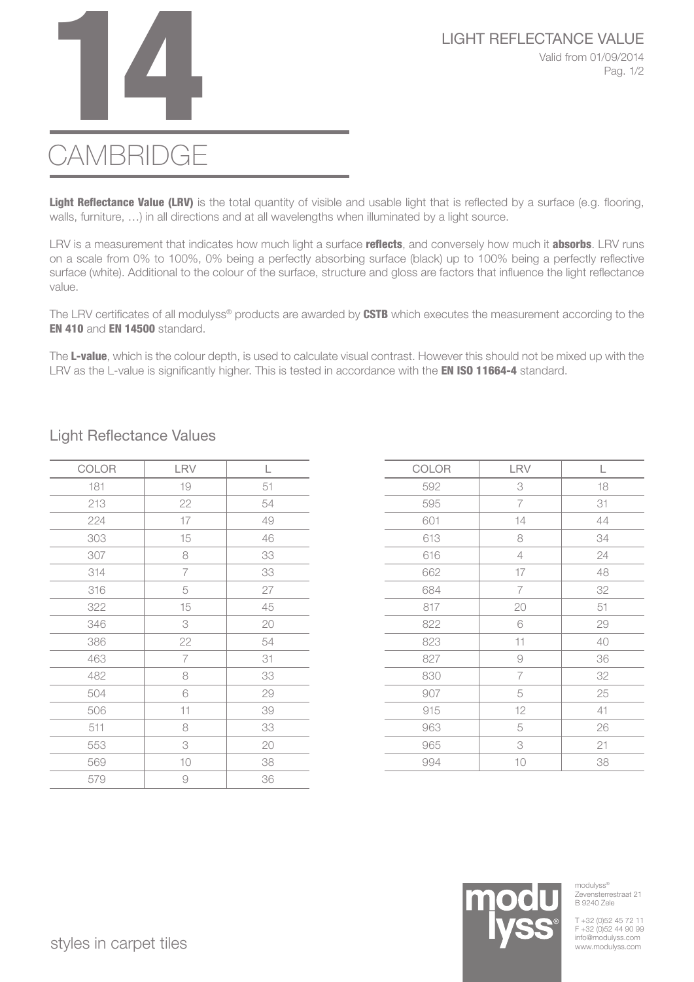

## **CAMBRIDGE**

Light Reflectance Value (LRV) is the total quantity of visible and usable light that is reflected by a surface (e.g. flooring, walls, furniture, …) in all directions and at all wavelengths when illuminated by a light source.

LRV is a measurement that indicates how much light a surface reflects, and conversely how much it absorbs. LRV runs on a scale from 0% to 100%, 0% being a perfectly absorbing surface (black) up to 100% being a perfectly reflective surface (white). Additional to the colour of the surface, structure and gloss are factors that influence the light reflectance value.

The LRV certificates of all modulyss® products are awarded by CSTB which executes the measurement according to the EN 410 and EN 14500 standard.

The L-value, which is the colour depth, is used to calculate visual contrast. However this should not be mixed up with the LRV as the L-value is significantly higher. This is tested in accordance with the **EN ISO 11664-4** standard.

| COLOR | LRV            | L  |
|-------|----------------|----|
| 181   | $10$           | 51 |
| 213   | 22             | 54 |
| 224   | 17             | 49 |
| 303   | 15             | 46 |
| 307   | 8              | 33 |
| 314   | $\overline{7}$ | 33 |
| 316   | 5              | 27 |
| 322   | 15             | 45 |
| 346   | 3              | 20 |
| 386   | 22             | 54 |
| 463   | $\overline{7}$ | 31 |
| 482   | 8              | 33 |
| 504   | 6              | 29 |
| 506   | 11             | 39 |
| 511   | 8              | 33 |
| 553   | 3              | 20 |
| 569   | 10             | 38 |
| 579   | 9              | 36 |

## Light Reflectance Values

| COLOR | LRV            | L  |
|-------|----------------|----|
| 592   | 3              | 18 |
| 595   | $\overline{7}$ | 31 |
| 601   | 14             | 44 |
| 613   | 8              | 34 |
| 616   | $\overline{4}$ | 24 |
| 662   | 17             | 48 |
| 684   | $\overline{7}$ | 32 |
| 817   | 20             | 51 |
| 822   | 6              | 29 |
| 823   | 11             | 40 |
| 827   | $\Theta$       | 36 |
| 830   | $\overline{7}$ | 32 |
| 907   | 5              | 25 |
| 915   | 12             | 41 |
| 963   | 5              | 26 |
| 965   | 3              | 21 |
| 994   | 10             | 38 |



modulyss® Zevensterrestraat 21 B 9240 Zele

T +32 (0)52 45 72 11 F +32 (0)52 44 90 99<br>info@modulyss.com